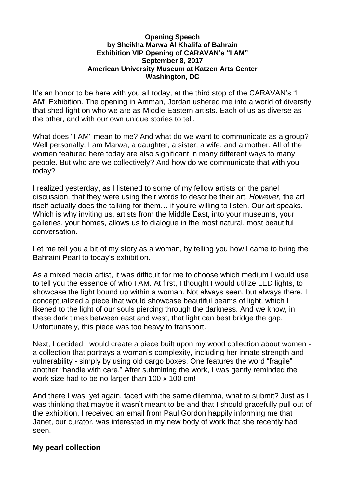## **Opening Speech by Sheikha Marwa Al Khalifa of Bahrain Exhibition VIP Opening of CARAVAN's "I AM" September 8, 2017 American University Museum at Katzen Arts Center Washington, DC**

It's an honor to be here with you all today, at the third stop of the CARAVAN's "I AM" Exhibition. The opening in Amman, Jordan ushered me into a world of diversity that shed light on who we are as Middle Eastern artists. Each of us as diverse as the other, and with our own unique stories to tell.

What does "I AM" mean to me? And what do we want to communicate as a group? Well personally, I am Marwa, a daughter, a sister, a wife, and a mother. All of the women featured here today are also significant in many different ways to many people. But who are we collectively? And how do we communicate that with you today?

I realized yesterday, as I listened to some of my fellow artists on the panel discussion, that they were using their words to describe their art. *However,* the art itself actually does the talking for them… if you're willing to listen. Our art speaks. Which is why inviting us, artists from the Middle East, into your museums, your galleries, your homes, allows us to dialogue in the most natural, most beautiful conversation.

Let me tell you a bit of my story as a woman, by telling you how I came to bring the Bahraini Pearl to today's exhibition.

As a mixed media artist, it was difficult for me to choose which medium I would use to tell you the essence of who I AM. At first, I thought I would utilize LED lights, to showcase the light bound up within a woman. Not always seen, but always there. I conceptualized a piece that would showcase beautiful beams of light, which I likened to the light of our souls piercing through the darkness. And we know, in these dark times between east and west, that light can best bridge the gap. Unfortunately, this piece was too heavy to transport.

Next, I decided I would create a piece built upon my wood collection about women a collection that portrays a woman's complexity, including her innate strength and vulnerability - simply by using old cargo boxes. One features the word "fragile" another "handle with care." After submitting the work, I was gently reminded the work size had to be no larger than 100 x 100 cm!

And there I was, yet again, faced with the same dilemma, what to submit? Just as I was thinking that maybe it wasn't meant to be and that I should gracefully pull out of the exhibition, I received an email from Paul Gordon happily informing me that Janet, our curator, was interested in my new body of work that she recently had seen.

## **My pearl collection**